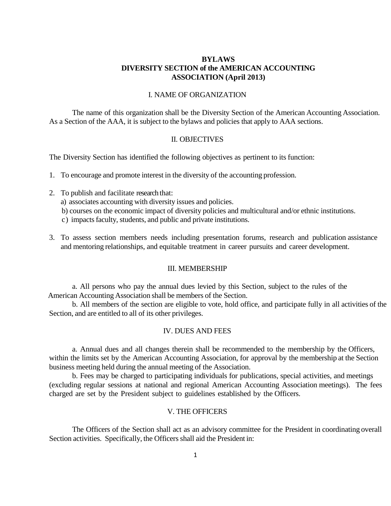# **BYLAWS DIVERSITY SECTION of the AMERICAN ACCOUNTING ASSOCIATION (April 2013)**

### I. NAME OF ORGANIZATION

The name of this organization shall be the Diversity Section of the American Accounting Association. As a Section of the AAA, it is subject to the bylaws and policies that apply to AAA sections.

#### II. OBJECTIVES

The Diversity Section has identified the following objectives as pertinent to its function:

- 1. To encourage and promote interest in the diversity of the accounting profession.
- 2. To publish and facilitate research that: a) associates accounting with diversity issues and policies. b) courses on the economic impact of diversity policies and multicultural and/or ethnic institutions. c) impacts faculty, students, and public and private institutions.
- 3. To assess section members needs including presentation forums, research and publication assistance and mentoring relationships, and equitable treatment in career pursuits and career development.

### III. MEMBERSHIP

a. All persons who pay the annual dues levied by this Section, subject to the rules of the American Accounting Association shall be members of the Section.

b. All members of the section are eligible to vote, hold office, and participate fully in all activities of the Section, and are entitled to all of its other privileges.

## IV. DUES AND FEES

a. Annual dues and all changes therein shall be recommended to the membership by the Officers, within the limits set by the American Accounting Association, for approval by the membership at the Section business meeting held during the annual meeting of the Association.

b. Fees may be charged to participating individuals for publications, special activities, and meetings (excluding regular sessions at national and regional American Accounting Association meetings). The fees charged are set by the President subject to guidelines established by the Officers.

# V. THE OFFICERS

The Officers of the Section shall act as an advisory committee for the President in coordinating overall Section activities. Specifically, the Officers shall aid the President in: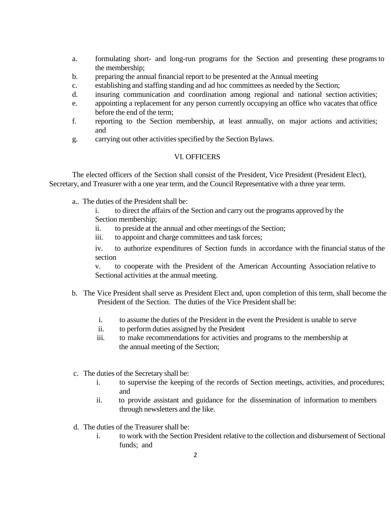- a. formulating short- and long-run programs for the Section and presenting these programsto the membership;
- b. preparing the annual financial report to be presented at the Annual meeting
- c. establishing and staffing standing and ad hoc committees as needed by the Section;
- d. insuring communication and coordination among regional and national section activities;
- e. appointing a replacement for any person currently occupying an office who vacates that office before the end of the term;
- f. reporting to the Section membership, at least annually, on major actions and activities; and
- g. carrying out other activities specified by the Section Bylaws.

## VI. OFFICERS

The elected officers of the Section shall consist of the President, Vice President (President Elect), Secretary, and Treasurer with a one year term, and the Council Representative with a three year term.

a.. The duties of the Presidentshall be:

i. to direct the affairs of the Section and carry out the programs approved by the Section membership;

- ii. to preside at the annual and other meetings of the Section;
- iii. to appoint and charge committees and task forces;

iv. to authorize expenditures of Section funds in accordance with the financial status of the section

v. to cooperate with the President of the American Accounting Association relative to Sectional activities at the annual meeting.

- b. The Vice President shall serve as President Elect and, upon completion of this term, shall become the President of the Section. The duties of the Vice President shall be:
	- i. to assume the duties of the President in the event the President is unable to serve
	- ii. to perform duties assigned by the President
	- iii. to make recommendations for activities and programs to the membership at the annual meeting of the Section;
- c. The duties of the Secretary shall be:
	- i. to supervise the keeping of the records of Section meetings, activities, and procedures; and
	- ii. to provide assistant and guidance for the dissemination of information to members through newsletters and the like.
- d. The duties of the Treasurer shall be:
	- i. to work with the Section President relative to the collection and disbursement of Sectional funds; and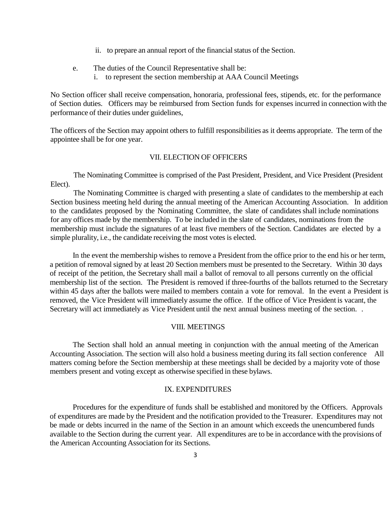- ii. to prepare an annual report of the financial status of the Section.
- e. The duties of the Council Representative shall be:
	- i. to represent the section membership at AAA Council Meetings

No Section officer shall receive compensation, honoraria, professional fees, stipends, etc. for the performance of Section duties. Officers may be reimbursed from Section funds for expenses incurred in connection with the performance of their duties under guidelines,

The officers of the Section may appoint others to fulfill responsibilities as it deems appropriate. The term of the appointee shall be for one year.

#### VII. ELECTION OF OFFICERS

The Nominating Committee is comprised of the Past President, President, and Vice President (President Elect).

The Nominating Committee is charged with presenting a slate of candidates to the membership at each Section business meeting held during the annual meeting of the American Accounting Association. In addition to the candidates proposed by the Nominating Committee, the slate of candidates shall include nominations for any offices made by the membership. To be included in the slate of candidates, nominations from the membership must include the signatures of at least five members of the Section. Candidates are elected by a simple plurality, i.e., the candidate receiving the most votes is elected.

In the event the membership wishes to remove a President from the office prior to the end his or her term, a petition of removal signed by at least 20 Section members must be presented to the Secretary. Within 30 days of receipt of the petition, the Secretary shall mail a ballot of removal to all persons currently on the official membership list of the section. The President is removed if three-fourths of the ballots returned to the Secretary within 45 days after the ballots were mailed to members contain a vote for removal. In the event a President is removed, the Vice President will immediately assume the office. If the office of Vice President is vacant, the Secretary will act immediately as Vice President until the next annual business meeting of the section. .

## VIII. MEETINGS

The Section shall hold an annual meeting in conjunction with the annual meeting of the American Accounting Association. The section will also hold a business meeting during its fall section conference All matters coming before the Section membership at these meetings shall be decided by a majority vote of those members present and voting except as otherwise specified in these bylaws.

### IX. EXPENDITURES

Procedures for the expenditure of funds shall be established and monitored by the Officers. Approvals of expenditures are made by the President and the notification provided to the Treasurer. Expenditures may not be made or debts incurred in the name of the Section in an amount which exceeds the unencumbered funds available to the Section during the current year. All expenditures are to be in accordance with the provisions of the American Accounting Association for its Sections.